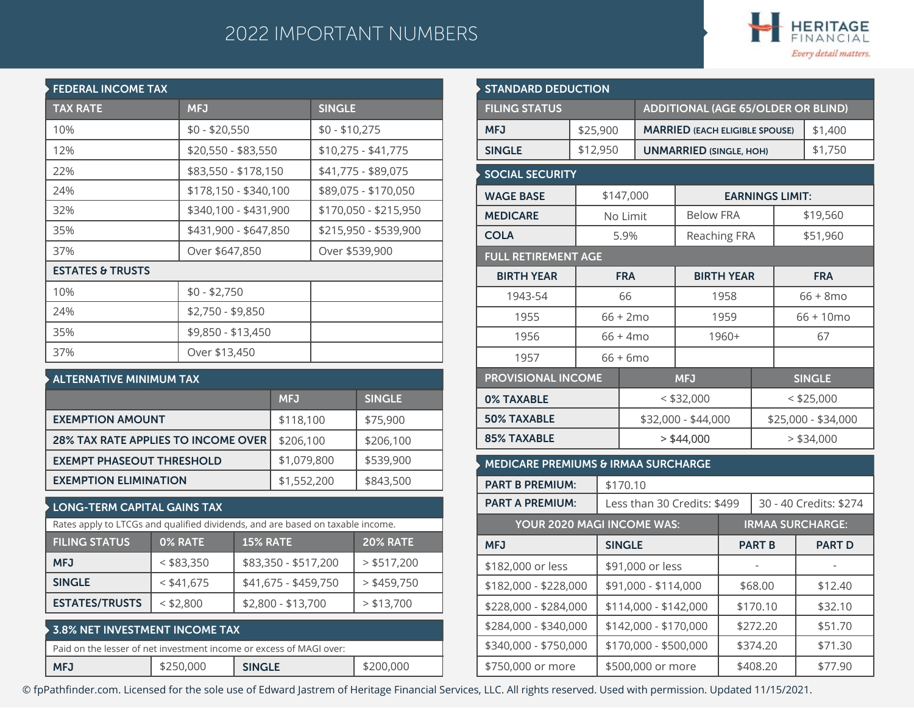## 2022 IMPORTANT NUMBERS



| <b>FEDERAL INCOME TAX</b>   |                       |                       |  |  |  |  |  |
|-----------------------------|-----------------------|-----------------------|--|--|--|--|--|
| <b>TAX RATE</b>             | <b>MFJ</b>            | <b>SINGLE</b>         |  |  |  |  |  |
| 10%                         | $$0 - $20,550$        | $$0 - $10,275$        |  |  |  |  |  |
| 12%                         | \$20,550 - \$83,550   | $$10,275 - $41,775$   |  |  |  |  |  |
| 22%                         | \$83,550 - \$178,150  | \$41,775 - \$89,075   |  |  |  |  |  |
| 24%                         | \$178,150 - \$340,100 | \$89,075 - \$170,050  |  |  |  |  |  |
| 32%                         | \$340,100 - \$431,900 | \$170,050 - \$215,950 |  |  |  |  |  |
| 35%                         | \$431,900 - \$647,850 | \$215,950 - \$539,900 |  |  |  |  |  |
| 37%                         | Over \$647,850        | Over \$539,900        |  |  |  |  |  |
| <b>ESTATES &amp; TRUSTS</b> |                       |                       |  |  |  |  |  |
| 10%                         | $$0 - $2,750$         |                       |  |  |  |  |  |
| 24%                         | \$2,750 - \$9,850     |                       |  |  |  |  |  |
| 35%                         | \$9,850 - \$13,450    |                       |  |  |  |  |  |
| 37%                         | Over \$13,450         |                       |  |  |  |  |  |

| $\blacktriangleright$ ALTERNATIVE MINIMUM TAX |             |               |  |  |  |
|-----------------------------------------------|-------------|---------------|--|--|--|
|                                               | <b>MFJ</b>  | <b>SINGLE</b> |  |  |  |
| <b>EXEMPTION AMOUNT</b>                       | \$118,100   | \$75,900      |  |  |  |
| <b>28% TAX RATE APPLIES TO INCOME OVER</b>    | \$206,100   | \$206,100     |  |  |  |
| <b>EXEMPT PHASEOUT THRESHOLD</b>              | \$1,079,800 | \$539,900     |  |  |  |
| <b>EXEMPTION ELIMINATION</b>                  | \$1,552,200 | \$843,500     |  |  |  |

## **LONG-TERM CAPITAL GAINS TAX**

|                                                                       | Rates apply to LTCGs and qualified dividends, and are based on taxable income. |                      |               |  |  |  |  |
|-----------------------------------------------------------------------|--------------------------------------------------------------------------------|----------------------|---------------|--|--|--|--|
| <b>FILING STATUS</b><br>0% RATE<br><b>15% RATE</b><br><b>20% RATE</b> |                                                                                |                      |               |  |  |  |  |
| <b>MFJ</b>                                                            | $<$ \$83,350                                                                   | \$83,350 - \$517,200 | $>$ \$517,200 |  |  |  |  |
| <b>SINGLE</b>                                                         | $<$ \$41,675                                                                   | \$41,675 - \$459,750 | $>$ \$459,750 |  |  |  |  |
| <b>ESTATES/TRUSTS</b>                                                 | $<$ \$2,800                                                                    | \$2,800 - \$13,700   | > \$13,700    |  |  |  |  |
|                                                                       |                                                                                |                      |               |  |  |  |  |

| $\blacktriangleright$ 3.8% NET INVESTMENT INCOME TAX                |           |               |           |  |  |  |
|---------------------------------------------------------------------|-----------|---------------|-----------|--|--|--|
| Paid on the lesser of net investment income or excess of MAGI over: |           |               |           |  |  |  |
| <b>MFJ</b>                                                          | \$250,000 | <b>SINGLE</b> | \$200,000 |  |  |  |

| <b>STANDARD DEDUCTION</b><br><b>FILING STATUS</b><br><b>ADDITIONAL (AGE 65/OLDER OR BLIND)</b> |             |                    |                              |                                              |                   |                                       |              |                         |  |
|------------------------------------------------------------------------------------------------|-------------|--------------------|------------------------------|----------------------------------------------|-------------------|---------------------------------------|--------------|-------------------------|--|
|                                                                                                |             |                    |                              |                                              |                   |                                       |              |                         |  |
|                                                                                                |             |                    |                              |                                              |                   |                                       |              |                         |  |
| <b>MFJ</b>                                                                                     | \$25,900    |                    |                              |                                              |                   | <b>MARRIED (EACH ELIGIBLE SPOUSE)</b> |              | \$1,400                 |  |
| <b>SINGLE</b>                                                                                  | \$12,950    |                    |                              | <b>UNMARRIED (SINGLE, HOH)</b>               |                   |                                       |              | \$1,750                 |  |
| <b>SOCIAL SECURITY</b>                                                                         |             |                    |                              |                                              |                   |                                       |              |                         |  |
| <b>WAGE BASE</b>                                                                               |             | \$147,000          |                              |                                              |                   | <b>EARNINGS LIMIT:</b>                |              |                         |  |
| <b>MEDICARE</b>                                                                                |             | No Limit           |                              | <b>Below FRA</b>                             |                   |                                       |              | \$19,560                |  |
| <b>COLA</b>                                                                                    |             | 5.9%               |                              |                                              | Reaching FRA      |                                       |              | \$51,960                |  |
| <b>FULL RETIREMENT AGE</b>                                                                     |             |                    |                              |                                              |                   |                                       |              |                         |  |
| <b>BIRTH YEAR</b>                                                                              |             | <b>FRA</b>         |                              |                                              | <b>BIRTH YEAR</b> |                                       |              | <b>FRA</b>              |  |
| 1943-54                                                                                        |             | 66                 |                              |                                              | 1958              |                                       |              | $66 + 8$ mo             |  |
| 1955                                                                                           |             | $66 + 2mo$         |                              |                                              | 1959              |                                       | $66 + 10$ mo |                         |  |
| 1956                                                                                           |             | $66 + 4 \text{mo}$ |                              |                                              | 1960+             |                                       | 67           |                         |  |
| 1957                                                                                           | $66 + 6$ mo |                    |                              |                                              |                   |                                       |              |                         |  |
| <b>PROVISIONAL INCOME</b>                                                                      |             |                    |                              | <b>MFJ</b>                                   |                   |                                       |              | <b>SINGLE</b>           |  |
| 0% TAXABLE                                                                                     |             |                    |                              | $<$ \$32,000                                 |                   |                                       |              | $<$ \$25,000            |  |
| <b>50% TAXABLE</b>                                                                             |             |                    |                              | \$32,000 - \$44,000                          |                   |                                       |              | \$25,000 - \$34,000     |  |
| <b>85% TAXABLE</b>                                                                             |             |                    | $>$ \$44,000<br>$>$ \$34,000 |                                              |                   |                                       |              |                         |  |
| MEDICARE PREMIUMS & IRMAA SURCHARGE                                                            |             |                    |                              |                                              |                   |                                       |              |                         |  |
| <b>PART B PREMIUM:</b>                                                                         |             | \$170.10           |                              |                                              |                   |                                       |              |                         |  |
| <b>PART A PREMIUM:</b>                                                                         |             |                    |                              | Less than 30 Credits: \$499                  |                   |                                       |              | 30 - 40 Credits: \$274  |  |
| YOUR 2020 MAGI INCOME WAS:                                                                     |             |                    |                              |                                              |                   |                                       |              | <b>IRMAA SURCHARGE:</b> |  |
| <b>MFJ</b>                                                                                     |             | <b>SINGLE</b>      |                              |                                              | <b>PART B</b>     |                                       |              | <b>PART D</b>           |  |
| \$182,000 or less                                                                              |             |                    | \$91,000 or less             |                                              |                   |                                       |              |                         |  |
| \$182,000 - \$228,000                                                                          |             |                    | \$91,000 - \$114,000         |                                              | \$68.00           |                                       |              | \$12.40                 |  |
| \$228,000 - \$284,000                                                                          |             |                    |                              | \$114,000 - \$142,000                        |                   | \$170.10                              |              | \$32.10                 |  |
| \$284,000 - \$340,000                                                                          |             |                    |                              | \$142,000 - \$170,000<br>\$272.20<br>\$51.70 |                   |                                       |              |                         |  |
| \$340,000 - \$750,000                                                                          |             |                    | \$170,000 - \$500,000        |                                              |                   | \$374.20                              |              | \$71.30                 |  |
| \$750,000 or more                                                                              |             |                    | \$500,000 or more            |                                              | \$408.20          |                                       |              | \$77.90                 |  |

© fpPathfinder.com. Licensed for the sole use of Edward Jastrem of Heritage Financial Services, LLC. All rights reserved. Used with permission. Updated 11/15/2021.